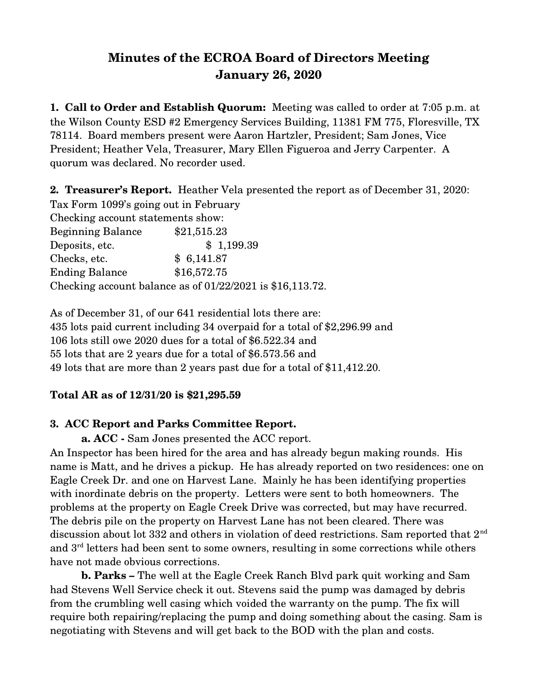# **Minutes of the ECROA Board of Directors Meeting January 26, 2020**

**1. Call to Order and Establish Quorum:** Meeting was called to order at 7:05 p.m. at the Wilson County ESD #2 Emergency Services Building, 11381 FM 775, Floresville, TX 78114. Board members present were Aaron Hartzler, President; Sam Jones, Vice President; Heather Vela, Treasurer, Mary Ellen Figueroa and Jerry Carpenter. A quorum was declared. No recorder used.

**2. Treasurer's Report.** Heather Vela presented the report as of December 31, 2020: Tax Form 1099's going out in February Checking account statements show: Beginning Balance \$21,515.23 Deposits, etc.  $$ 1,199.39$ Checks, etc. \$ 6,141.87 Ending Balance \$16,572.75 Checking account balance as of 01/22/2021 is \$16,113.72.

As of December 31, of our 641 residential lots there are: 435 lots paid current including 34 overpaid for a total of \$2,296.99 and 106 lots still owe 2020 dues for a total of \$6.522.34 and 55 lots that are 2 years due for a total of \$6.573.56 and 49 lots that are more than 2 years past due for a total of \$11,412.20.

### **Total AR as of 12/31/20 is \$21,295.59**

## **3. ACC Report and Parks Committee Report.**

**a. ACC** - Sam Jones presented the ACC report.

An Inspector has been hired for the area and has already begun making rounds. His name is Matt, and he drives a pickup. He has already reported on two residences: one on Eagle Creek Dr. and one on Harvest Lane. Mainly he has been identifying properties with inordinate debris on the property. Letters were sent to both homeowners. The problems at the property on Eagle Creek Drive was corrected, but may have recurred. The debris pile on the property on Harvest Lane has not been cleared. There was discussion about lot 332 and others in violation of deed restrictions. Sam reported that  $2<sup>nd</sup>$ and 3<sup>rd</sup> letters had been sent to some owners, resulting in some corrections while others have not made obvious corrections.

**b. Parks –** The well at the Eagle Creek Ranch Blvd park quit working and Sam had Stevens Well Service check it out. Stevens said the pump was damaged by debris from the crumbling well casing which voided the warranty on the pump. The fix will require both repairing/replacing the pump and doing something about the casing. Sam is negotiating with Stevens and will get back to the BOD with the plan and costs.